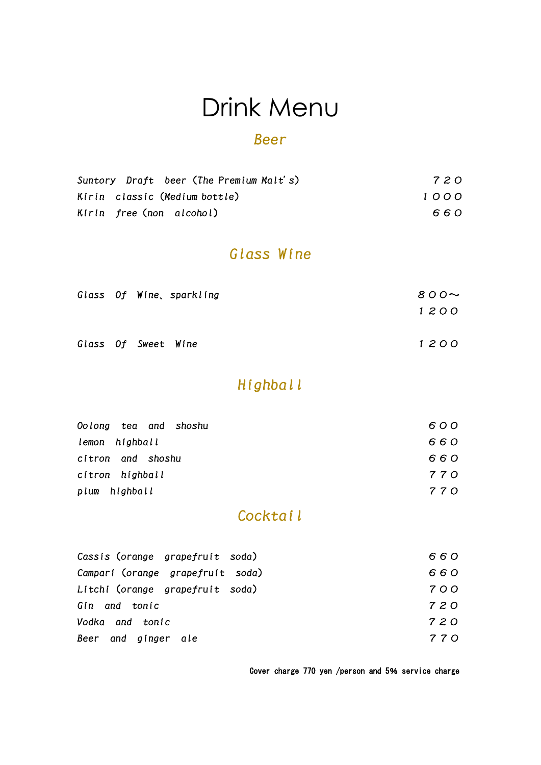# Drink Menu

#### Beer

|                               | Suntory Draft beer (The Premium Malt's) | 720  |
|-------------------------------|-----------------------------------------|------|
| Kirin classic (Medium bottle) |                                         | 1000 |
| Kirin free (non alcohol)      |                                         | 660  |

#### Glass Wine

|                     |  | Glass Of Wine sparkling | $800 -$ |
|---------------------|--|-------------------------|---------|
|                     |  |                         | 1200    |
| Glass Of Sweet Wine |  |                         | 1200    |

#### Highball

| Oolong tea and shoshu | 600   |
|-----------------------|-------|
| lemon highball        | 660   |
| citron and shoshu     | 660   |
| cítron highball       | 7 7 O |
| highball<br>plum      | 770   |

#### Cocktail

| Cassis (orange grapefruit soda)  | 660   |
|----------------------------------|-------|
| Campari (orange grapefruit soda) | 660   |
| Litchi (orange grapefruit soda)  | 700   |
| Gin and tonic                    | 720   |
| Vodka and tonic                  | 7 2 O |
| Beer and ginger ale              | 770   |

Cover charge 770 yen /person and 5% service charge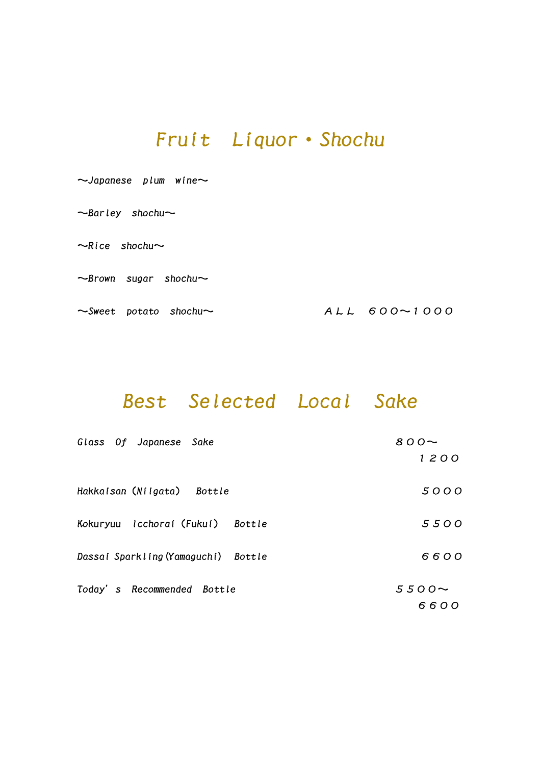#### Fruit Liquor・Shochu

| $\sim$ Japanese plum wine $\sim$  |                |
|-----------------------------------|----------------|
| $\sim$ Barley shochu $\sim$       |                |
| $\sim$ Rice shochu $\sim$         |                |
| $\sim$ Brown sugar shochu $\sim$  |                |
| $\sim$ Sweet potato shochu $\sim$ | $ALL$ 600~1000 |

#### Best Selected Local Sake

| Glass Of Japanese Sake              | 800~        |
|-------------------------------------|-------------|
|                                     | 1200        |
| Hakkaisan (Niigata) Bottle          | 5000        |
| Kokuryuu Icchoraí (Fukuí) Bottle    | 5500        |
| Dassai Sparkling (Yamaguchi) Bottle | 6600        |
| Today's Recommended Bottle          | $5500 \sim$ |
|                                     | 6600        |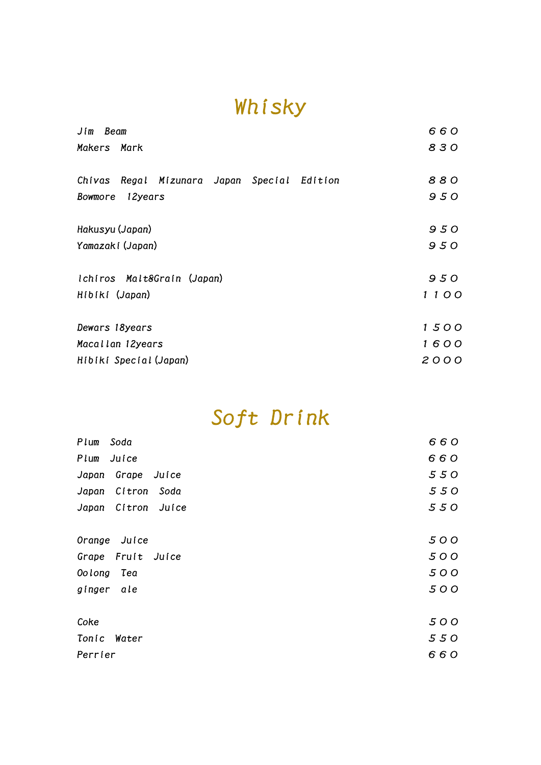## Whisky

| Jim Beam                                       | 660  |
|------------------------------------------------|------|
| Makers Mark                                    | 830  |
| Regal Mizunara Japan Special Edition<br>Chivas | 880  |
| 12years<br>Bowmore                             | 950  |
| Hakusyu (Japan)                                | 950  |
| Yamazaki (Japan)                               | 950  |
| Ichiros Malt&Grain (Japan)                     | 950  |
| Hibiki (Japan)                                 | 1100 |
| Dewars 18years                                 | 1500 |
| Macallan 12years                               | 1600 |
| Hibiki Special (Japan)                         | 2000 |

## Soft Drink

| Plum<br>Soda            | 660 |
|-------------------------|-----|
| Plum<br>Juice           | 660 |
| Japan<br>Grape<br>Juice | 550 |
| Japan Citron<br>Soda    | 550 |
| Japan Citron Juice      | 550 |
|                         |     |
| Orange Juice            | 500 |
| Grape Fruit Juice       | 500 |
| Oolong<br>Tea           | 500 |
| gínger<br>ale           | 500 |
| Coke                    | 500 |
| Tonic Water             | 550 |
| Perrier                 | 660 |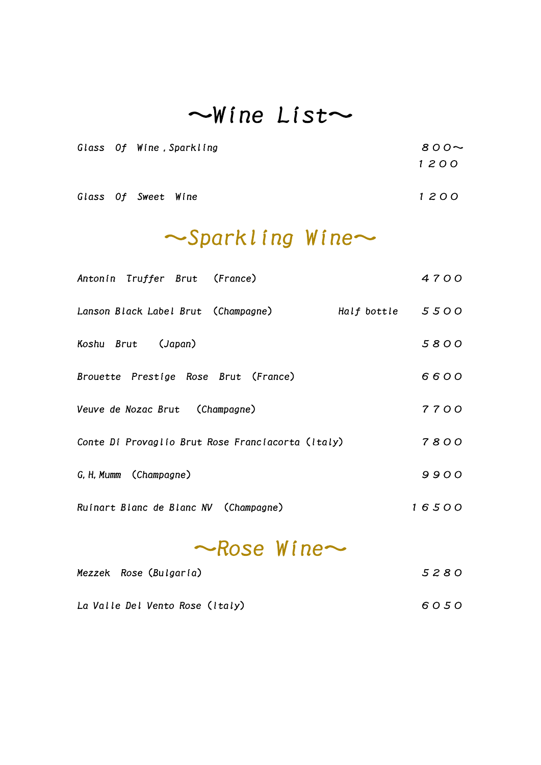## $\sim$ Wine List $\sim$

|  | Glass Of Wine, Sparkling | $800 -$ |
|--|--------------------------|---------|
|  |                          | 1200    |
|  |                          |         |

Glass Of Sweet Wine 2000

### ~Sparkling Wine~

| Antonin Truffer Brut (France)                     |                    | 4700   |
|---------------------------------------------------|--------------------|--------|
| Lanson Black Label Brut (Champagne)               | Half bottle $5500$ |        |
| Koshu Brut (Japan)                                |                    | 5800   |
| Brouette Prestige Rose Brut (France)              |                    | 6600   |
| Veuve de Nozac Brut (Champagne)                   |                    | 7700   |
| Conte Di Provaglio Brut Rose Franciacorta (Italy) |                    | 7800   |
| G. H. Mumm (Champagne)                            |                    | $9900$ |
| Ruinart Blanc de Blanc NV (Champagne)             |                    | 16500  |
|                                                   |                    |        |

## $\sim$ Rose Wine $\sim$

| Mezzek Rose (Bulgaria)          | 5280 |
|---------------------------------|------|
| La Valle Del Vento Rose (Italy) | 6050 |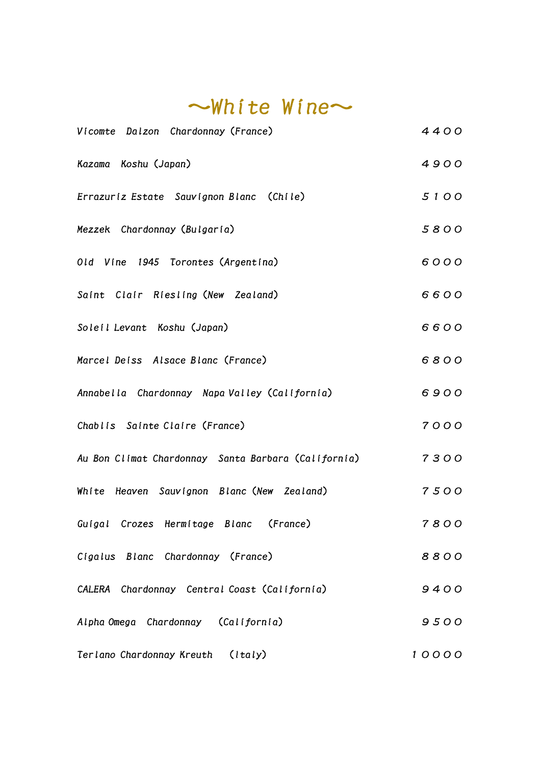| $\sim$ White Wine $\sim$                            |       |  |
|-----------------------------------------------------|-------|--|
| Vicomte Dalzon Chardonnay (France)                  | 4400  |  |
| Kazama Koshu (Japan)                                | 4900  |  |
| Errazuriz Estate Sauvignon Blanc (Chile)            | 5100  |  |
| Mezzek Chardonnay (Bulgaria)                        | 5800  |  |
| Old Vine 1945 Torontes (Argentina)                  | 6000  |  |
| Saint Clair Riesling (New Zealand)                  | 6600  |  |
| Soleil Levant Koshu (Japan)                         | 6600  |  |
| Marcel Deiss Alsace Blanc (France)                  | 6800  |  |
| Annabella Chardonnay Napa Valley (California)       | 6900  |  |
| Chablis Sainte Claire (France)                      | 7000  |  |
| Au Bon Climat Chardonnay Santa Barbara (California) | 7300  |  |
| White Heaven Sauvignon Blanc (New Zealand)          | 7500  |  |
| Guigal Crozes Hermitage Blanc (France)              | 7800  |  |
| Cigalus Blanc Chardonnay (France)                   | 8800  |  |
| CALERA Chardonnay Central Coast (California)        | 9400  |  |
| Alpha Omega Chardonnay (California)                 | 9500  |  |
| Terlano Chardonnay Kreuth (Italy)                   | 10000 |  |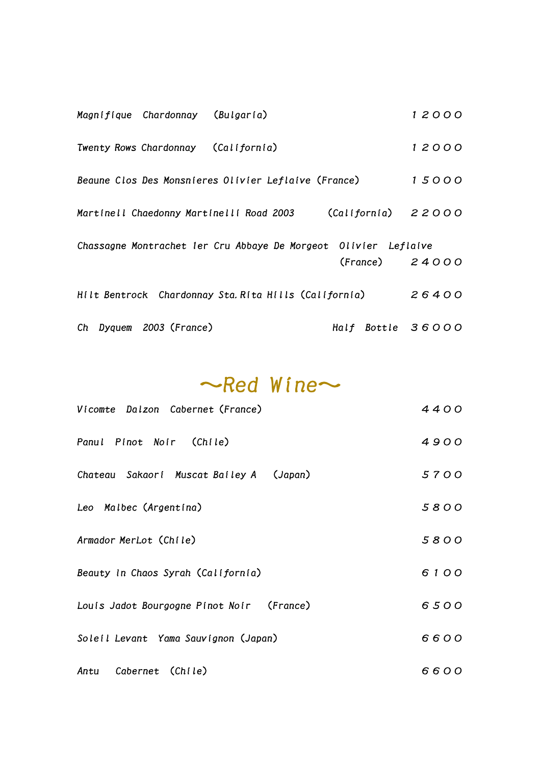|                                                                 | Magnifique Chardonnay (Bulgaria)    |                                                      |                             | 12000 |  |
|-----------------------------------------------------------------|-------------------------------------|------------------------------------------------------|-----------------------------|-------|--|
|                                                                 | Twenty Rows Chardonnay (California) |                                                      |                             | 12000 |  |
|                                                                 |                                     | Beaune Clos Des Monsnieres Olivier Leflaive (France) |                             | 15000 |  |
|                                                                 |                                     | Martinell Chaedonny Martinelli Road 2003             | $\text{(California)}$ 22000 |       |  |
| Chassagne Montrachet ler Cru Abbaye De Morgeot Olivier Leflaive |                                     |                                                      |                             |       |  |
|                                                                 |                                     |                                                      | $(France)$ 24000            |       |  |
| Hilt Bentrock Chardonnay Sta. Rita Hills (California)           |                                     |                                                      |                             | 26400 |  |
|                                                                 | Ch Dyquem 2003 (France)             |                                                      | Half Bottle 36000           |       |  |

 $\sim$ Red Wine $\sim$ 

| Vicomte Dalzon Cabernet (France)          | 4400 |  |
|-------------------------------------------|------|--|
| Panul Pinot Noir (Chile)                  | 4900 |  |
| Chateau Sakaori Muscat Bailey A (Japan)   | 5700 |  |
| Leo Malbec (Argentina)                    | 5800 |  |
| Armador MerLot (Chile)                    | 5800 |  |
| Beauty In Chaos Syrah (California)        |      |  |
| Louis Jadot Bourgogne Pinot Noir (France) | 6500 |  |
| Soleil Levant Yama Sauvignon (Japan)      |      |  |
| Antu Cabernet (Chile)                     | 6600 |  |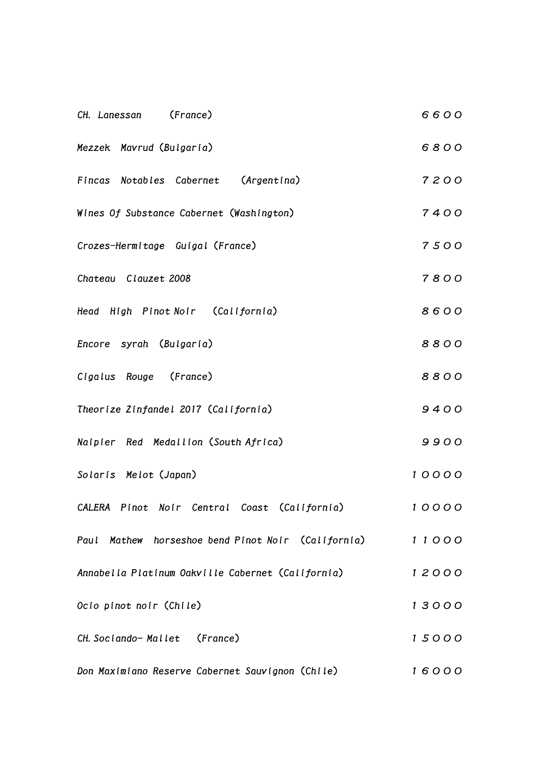| (France)<br>CH. Lanessan                           | 6600  |
|----------------------------------------------------|-------|
| Mezzek Mavrud (Bulgaria)                           | 6800  |
| Fincas Notables Cabernet (Argentina)               | 7200  |
| Wines Of Substance Cabernet (Washington)           | 7400  |
| Crozes-Hermitage Guigal (France)                   | 7500  |
| Chateau Clauzet 2008                               | 7800  |
| Head High Pinot Noir (California)                  | 8600  |
| Encore syrah (Bulgaria)                            | 8800  |
| Cigalus Rouge (France)                             | 8800  |
| Theorize Zinfandel 2017 (California)               | 9400  |
| Naipier Red Medallion (South Africa)               | 9900  |
| Solaris Melot (Japan)                              | 10000 |
| CALERA Pinot Noir Central Coast (California)       | 10000 |
| Paul Mathew horseshoe bend Pinot Noir (California) | 11000 |
| Annabella Platinum Oakville Cabernet (California)  | 12000 |
| Ocio pinot noir (Chile)                            | 13000 |
| CH. Sociando-Mallet (France)                       | 15000 |
| Don Maximiano Reserve Cabernet Sauvignon (Chile)   | 16000 |